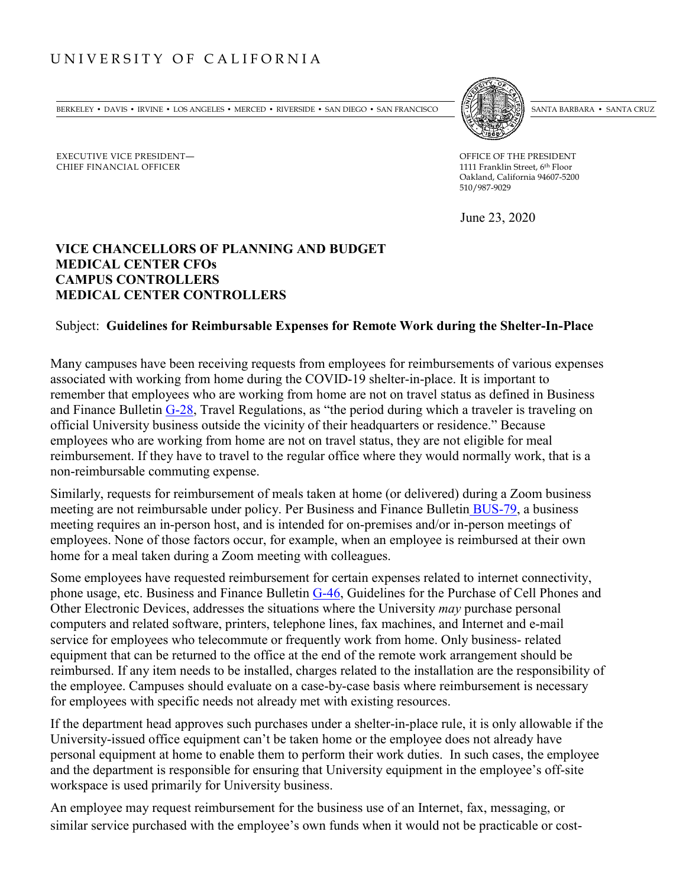## UNIVERSITY OF CALIFORNIA

EXECUTIVE VICE PRESIDENT— CHIEF FINANCIAL OFFICER

BERKELEY • DAVIS • IRVINE • LOS ANGELES • MERCED • RIVERSIDE • SAN DIEGO • SAN FRANCISCO [[PARTER SANTA BARBARA • SANTA CRUZ



OFFICE OF THE PRESIDENT 1111 Franklin Street, 6th Floor Oakland, California 94607-5200 510/987-9029

June 23, 2020

## **VICE CHANCELLORS OF PLANNING AND BUDGET MEDICAL CENTER CFOs CAMPUS CONTROLLERS MEDICAL CENTER CONTROLLERS**

## Subject: **Guidelines for Reimbursable Expenses for Remote Work during the Shelter-In-Place**

Many campuses have been receiving requests from employees for reimbursements of various expenses associated with working from home during the COVID-19 shelter-in-place. It is important to remember that employees who are working from home are not on travel status as defined in Business and Finance Bulletin [G-28,](https://policy.ucop.edu/doc/3420365/BFB-G-28) Travel Regulations, as "the period during which a traveler is traveling on official University business outside the vicinity of their headquarters or residence." Because employees who are working from home are not on travel status, they are not eligible for meal reimbursement. If they have to travel to the regular office where they would normally work, that is a non-reimbursable commuting expense.

Similarly, requests for reimbursement of meals taken at home (or delivered) during a Zoom business meeting are not reimbursable under policy. Per Business and Finance Bulletin [BUS-79,](https://policy.ucop.edu/doc/3420364/BFB-BUS-79) a business meeting requires an in-person host, and is intended for on-premises and/or in-person meetings of employees. None of those factors occur, for example, when an employee is reimbursed at their own home for a meal taken during a Zoom meeting with colleagues.

Some employees have requested reimbursement for certain expenses related to internet connectivity, phone usage, etc. Business and Finance Bulletin [G-46,](https://policy.ucop.edu/doc/3420357/BFB-G-46) Guidelines for the Purchase of Cell Phones and Other Electronic Devices, addresses the situations where the University *may* purchase personal computers and related software, printers, telephone lines, fax machines, and Internet and e-mail service for employees who telecommute or frequently work from home. Only business- related equipment that can be returned to the office at the end of the remote work arrangement should be reimbursed. If any item needs to be installed, charges related to the installation are the responsibility of the employee. Campuses should evaluate on a case-by-case basis where reimbursement is necessary for employees with specific needs not already met with existing resources.

If the department head approves such purchases under a shelter-in-place rule, it is only allowable if the University-issued office equipment can't be taken home or the employee does not already have personal equipment at home to enable them to perform their work duties. In such cases, the employee and the department is responsible for ensuring that University equipment in the employee's off-site workspace is used primarily for University business.

An employee may request reimbursement for the business use of an Internet, fax, messaging, or similar service purchased with the employee's own funds when it would not be practicable or cost-